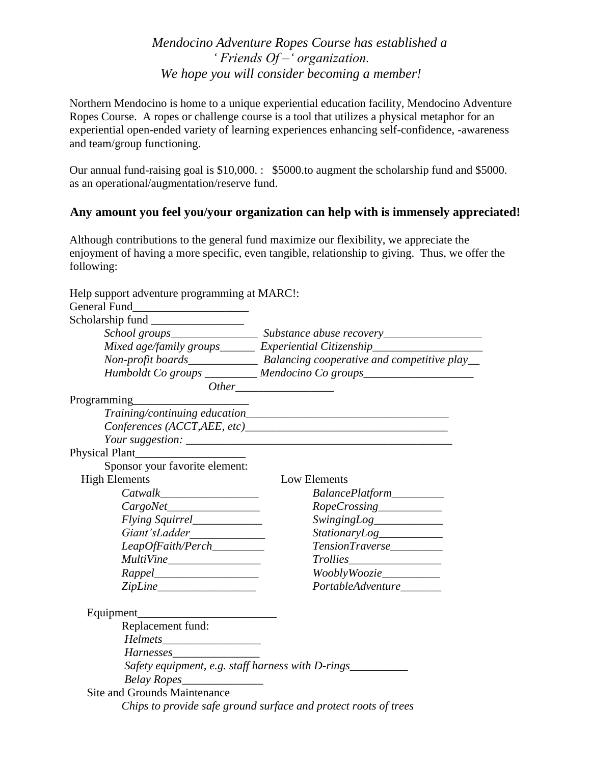*Mendocino Adventure Ropes Course has established a ' Friends Of –' organization. We hope you will consider becoming a member!*

Northern Mendocino is home to a unique experiential education facility, Mendocino Adventure Ropes Course. A ropes or challenge course is a tool that utilizes a physical metaphor for an experiential open-ended variety of learning experiences enhancing self-confidence, -awareness and team/group functioning.

Our annual fund-raising goal is \$10,000. : \$5000.to augment the scholarship fund and \$5000. as an operational/augmentation/reserve fund.

## **Any amount you feel you/your organization can help with is immensely appreciated!**

Although contributions to the general fund maximize our flexibility, we appreciate the enjoyment of having a more specific, even tangible, relationship to giving. Thus, we offer the following:

Help support adventure programming at MARC!:

|                                | School groups___________________ Substance abuse recovery_______________________ |
|--------------------------------|----------------------------------------------------------------------------------|
|                                | Mixed age/family groups_______ Experiential Citizenship_________________________ |
|                                |                                                                                  |
|                                | Humboldt Co groups _________ Mendocino Co groups________________________________ |
|                                |                                                                                  |
|                                |                                                                                  |
|                                |                                                                                  |
|                                |                                                                                  |
|                                |                                                                                  |
| Physical Plant                 |                                                                                  |
| Sponsor your favorite element: |                                                                                  |
| <b>High Elements</b>           | Low Elements                                                                     |
|                                | BalancePlatform_________                                                         |
| CargoNet                       | RopeCrossing___________                                                          |
| Flying Squirrel_____________   | SwingingLog____________                                                          |
|                                | StationaryLog__________                                                          |
| LeapOfFaith/Perch________      | TensionTraverse                                                                  |
|                                |                                                                                  |
|                                | WooblyWoozie__________                                                           |
| ZipLine                        | PortableAdventure______                                                          |
|                                |                                                                                  |
| Replacement fund:              |                                                                                  |
|                                |                                                                                  |
| Harnesses                      |                                                                                  |
|                                | Safety equipment, e.g. staff harness with D-rings___________                     |
| Belay Ropes                    |                                                                                  |
| Site and Grounds Maintenance   |                                                                                  |
|                                | Chips to provide safe ground surface and protect roots of trees                  |
|                                |                                                                                  |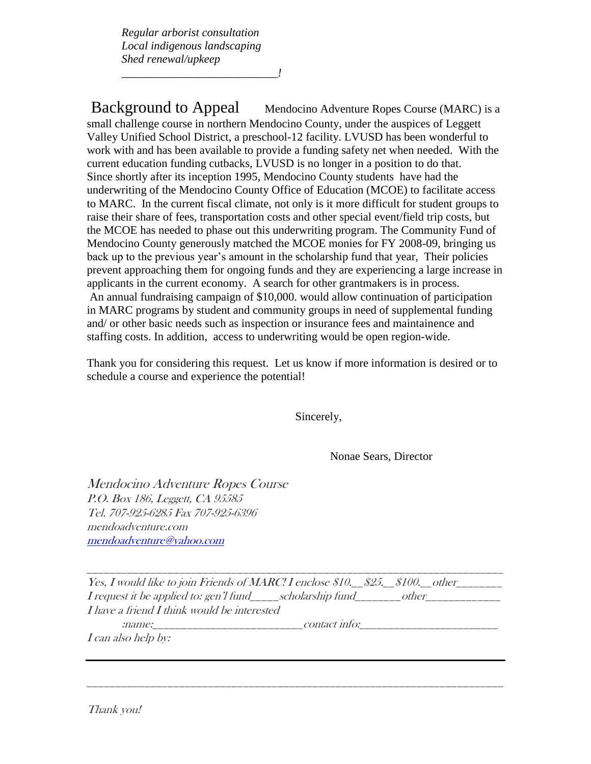*Regular arborist consultation Local indigenous landscaping Shed renewal/upkeep*

*\_\_\_\_\_\_\_\_\_\_\_\_\_\_\_\_\_\_\_\_\_\_\_\_\_\_\_!*

Background to Appeal Mendocino Adventure Ropes Course (MARC) is a small challenge course in northern Mendocino County, under the auspices of Leggett Valley Unified School District, a preschool-12 facility. LVUSD has been wonderful to work with and has been available to provide a funding safety net when needed. With the current education funding cutbacks, LVUSD is no longer in a position to do that. Since shortly after its inception 1995, Mendocino County students have had the underwriting of the Mendocino County Office of Education (MCOE) to facilitate access to MARC. In the current fiscal climate, not only is it more difficult for student groups to raise their share of fees, transportation costs and other special event/field trip costs, but the MCOE has needed to phase out this underwriting program. The Community Fund of Mendocino County generously matched the MCOE monies for FY 2008-09, bringing us back up to the previous year's amount in the scholarship fund that year, Their policies prevent approaching them for ongoing funds and they are experiencing a large increase in applicants in the current economy. A search for other grantmakers is in process. An annual fundraising campaign of \$10,000. would allow continuation of participation in MARC programs by student and community groups in need of supplemental funding and/ or other basic needs such as inspection or insurance fees and maintainence and staffing costs. In addition, access to underwriting would be open region-wide.

Thank you for considering this request. Let us know if more information is desired or to schedule a course and experience the potential!

Sincerely,

Nonae Sears, Director

Mendocino Adventure Ropes Course P.O. Box 186, Leggett, CA 95585 Tel. 707-925-6285 Fax 707-925-6396 mendoadventure.com [mendoadventure@yahoo.com](mailto:mendoadventure@yahoo.com)

Yes, I would like to join Friends of MARC! I enclose \$10.  $$25.$  \$100. other  $I$  request it be applied to: gen'l fund scholarship fund other I have a friend I think would be interested

\_\_\_\_\_\_\_\_\_\_\_\_\_\_\_\_\_\_\_\_\_\_\_\_\_\_\_\_\_\_\_\_\_\_\_\_\_\_\_\_\_\_\_\_\_\_\_\_\_\_\_\_\_\_\_\_\_\_\_\_\_\_\_\_\_\_\_\_\_\_\_\_

:name:\_\_\_\_\_\_\_\_\_\_\_\_\_\_\_\_\_\_\_\_\_\_\_\_\_\_contact info:\_\_\_\_\_\_\_\_\_\_\_\_\_\_\_\_\_\_\_\_\_\_\_\_

\_\_\_\_\_\_\_\_\_\_\_\_\_\_\_\_\_\_\_\_\_\_\_\_\_\_\_\_\_\_\_\_\_\_\_\_\_\_\_\_\_\_\_\_\_\_\_\_\_\_\_\_\_\_\_\_\_\_\_\_\_\_\_\_\_\_\_\_\_\_\_\_

I can also help by:

Thank you!